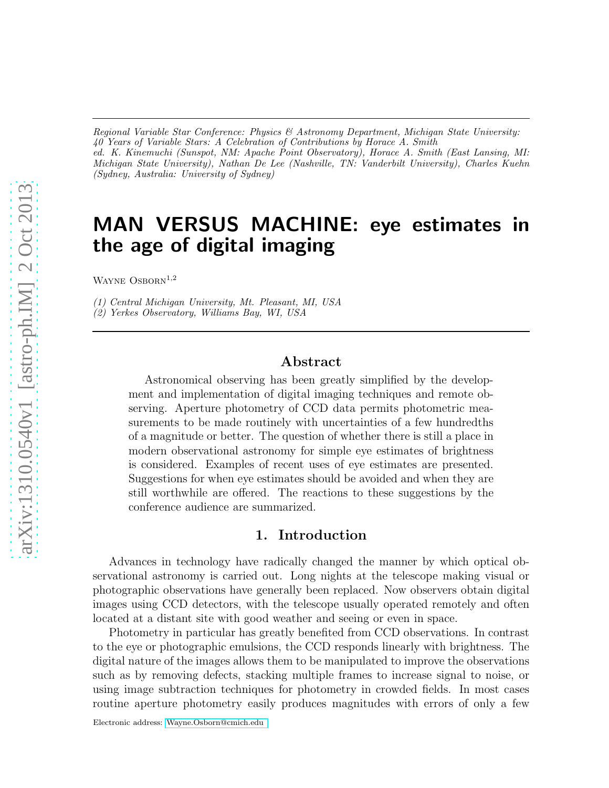*Regional Variable Star Conference: Physics & Astronomy Department, Michigan State University: 40 Years of Variable Stars: A Celebration of Contributions by Horace A. Smith ed. K. Kinemuchi (Sunspot, NM: Apache Point Observatory), Horace A. Smith (East Lansing, MI: Michigan State University), Nathan De Lee (Nashville, TN: Vanderbilt University), Charles Kuehn (Sydney, Australia: University of Sydney)*

# MAN VERSUS MACHINE: eye estimates in the age of digital imaging

WAYNE  $OSBORN<sup>1,2</sup>$ 

*(1) Central Michigan University, Mt. Pleasant, MI, USA*

*(2) Yerkes Observatory, Williams Bay, WI, USA*

## Abstract

Astronomical observing has been greatly simplified by the development and implementation of digital imaging techniques and remote observing. Aperture photometry of CCD data permits photometric measurements to be made routinely with uncertainties of a few hundredths of a magnitude or better. The question of whether there is still a place in modern observational astronomy for simple eye estimates of brightness is considered. Examples of recent uses of eye estimates are presented. Suggestions for when eye estimates should be avoided and when they are still worthwhile are offered. The reactions to these suggestions by the conference audience are summarized.

## 1. Introduction

Advances in technology have radically changed the manner by which optical observational astronomy is carried out. Long nights at the telescope making visual or photographic observations have generally been replaced. Now observers obtain digital images using CCD detectors, with the telescope usually operated remotely and often located at a distant site with good weather and seeing or even in space.

Photometry in particular has greatly benefited from CCD observations. In contrast to the eye or photographic emulsions, the CCD responds linearly with brightness. The digital nature of the images allows them to be manipulated to improve the observations such as by removing defects, stacking multiple frames to increase signal to noise, or using image subtraction techniques for photometry in crowded fields. In most cases routine aperture photometry easily produces magnitudes with errors of only a few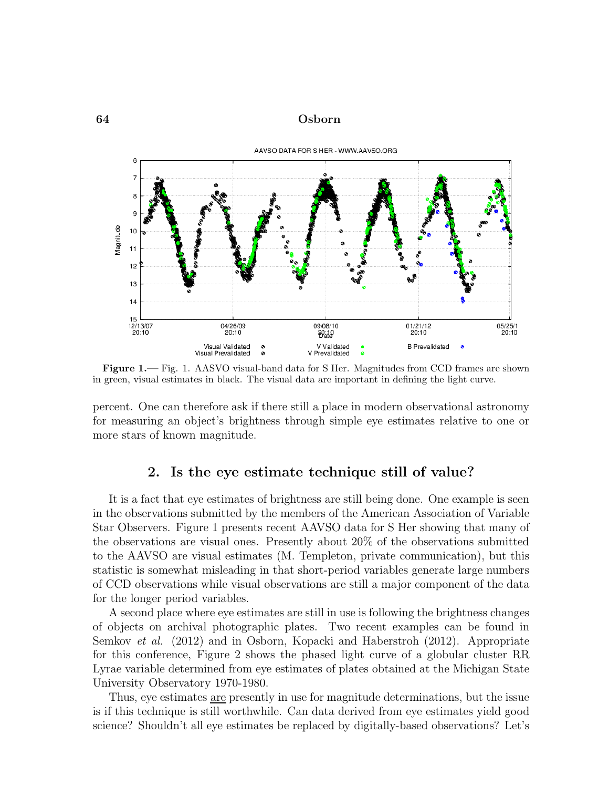

Figure 1.— Fig. 1. AASVO visual-band data for S Her. Magnitudes from CCD frames are shown in green, visual estimates in black. The visual data are important in defining the light curve.

percent. One can therefore ask if there still a place in modern observational astronomy for measuring an object's brightness through simple eye estimates relative to one or more stars of known magnitude.

## 2. Is the eye estimate technique still of value?

It is a fact that eye estimates of brightness are still being done. One example is seen in the observations submitted by the members of the American Association of Variable Star Observers. Figure 1 presents recent AAVSO data for S Her showing that many of the observations are visual ones. Presently about 20% of the observations submitted to the AAVSO are visual estimates (M. Templeton, private communication), but this statistic is somewhat misleading in that short-period variables generate large numbers of CCD observations while visual observations are still a major component of the data for the longer period variables.

A second place where eye estimates are still in use is following the brightness changes of objects on archival photographic plates. Two recent examples can be found in Semkov et al. (2012) and in Osborn, Kopacki and Haberstroh (2012). Appropriate for this conference, Figure 2 shows the phased light curve of a globular cluster RR Lyrae variable determined from eye estimates of plates obtained at the Michigan State University Observatory 1970-1980.

Thus, eye estimates are presently in use for magnitude determinations, but the issue is if this technique is still worthwhile. Can data derived from eye estimates yield good science? Shouldn't all eye estimates be replaced by digitally-based observations? Let's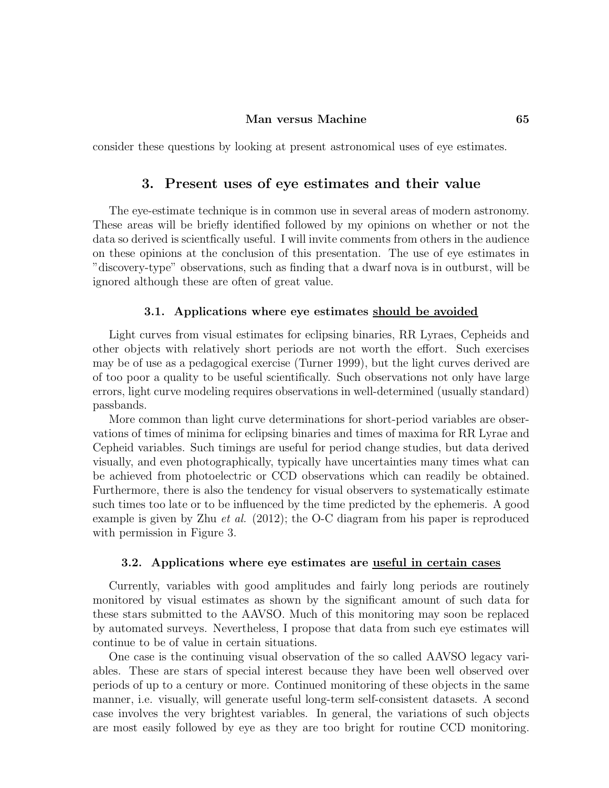#### Man versus Machine 65

consider these questions by looking at present astronomical uses of eye estimates.

## 3. Present uses of eye estimates and their value

The eye-estimate technique is in common use in several areas of modern astronomy. These areas will be briefly identified followed by my opinions on whether or not the data so derived is scientfically useful. I will invite comments from others in the audience on these opinions at the conclusion of this presentation. The use of eye estimates in "discovery-type" observations, such as finding that a dwarf nova is in outburst, will be ignored although these are often of great value.

#### 3.1. Applications where eye estimates should be avoided

Light curves from visual estimates for eclipsing binaries, RR Lyraes, Cepheids and other objects with relatively short periods are not worth the effort. Such exercises may be of use as a pedagogical exercise (Turner 1999), but the light curves derived are of too poor a quality to be useful scientifically. Such observations not only have large errors, light curve modeling requires observations in well-determined (usually standard) passbands.

More common than light curve determinations for short-period variables are observations of times of minima for eclipsing binaries and times of maxima for RR Lyrae and Cepheid variables. Such timings are useful for period change studies, but data derived visually, and even photographically, typically have uncertainties many times what can be achieved from photoelectric or CCD observations which can readily be obtained. Furthermore, there is also the tendency for visual observers to systematically estimate such times too late or to be influenced by the time predicted by the ephemeris. A good example is given by Zhu *et al.* (2012); the O-C diagram from his paper is reproduced with permission in Figure 3.

#### 3.2. Applications where eye estimates are useful in certain cases

Currently, variables with good amplitudes and fairly long periods are routinely monitored by visual estimates as shown by the significant amount of such data for these stars submitted to the AAVSO. Much of this monitoring may soon be replaced by automated surveys. Nevertheless, I propose that data from such eye estimates will continue to be of value in certain situations.

One case is the continuing visual observation of the so called AAVSO legacy variables. These are stars of special interest because they have been well observed over periods of up to a century or more. Continued monitoring of these objects in the same manner, i.e. visually, will generate useful long-term self-consistent datasets. A second case involves the very brightest variables. In general, the variations of such objects are most easily followed by eye as they are too bright for routine CCD monitoring.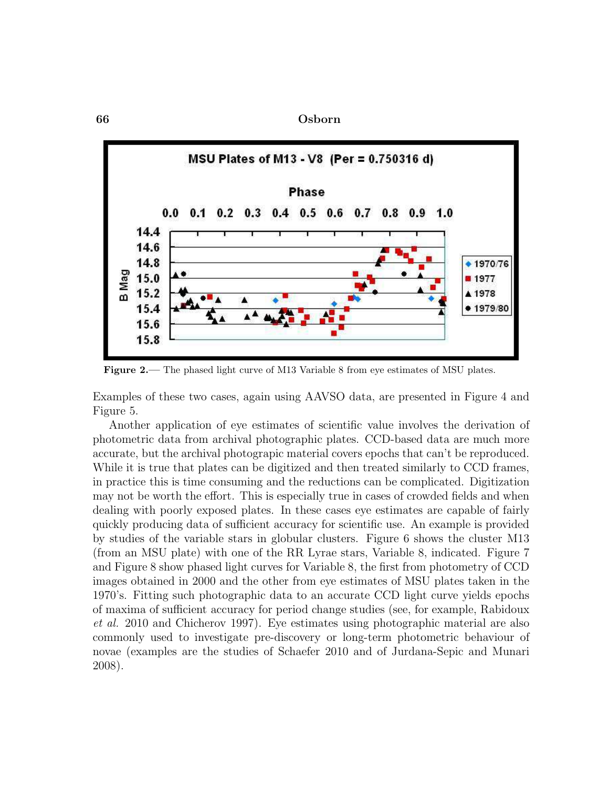

Figure 2.— The phased light curve of M13 Variable 8 from eye estimates of MSU plates.

Examples of these two cases, again using AAVSO data, are presented in Figure 4 and Figure 5.

Another application of eye estimates of scientific value involves the derivation of photometric data from archival photographic plates. CCD-based data are much more accurate, but the archival photograpic material covers epochs that can't be reproduced. While it is true that plates can be digitized and then treated similarly to CCD frames, in practice this is time consuming and the reductions can be complicated. Digitization may not be worth the effort. This is especially true in cases of crowded fields and when dealing with poorly exposed plates. In these cases eye estimates are capable of fairly quickly producing data of sufficient accuracy for scientific use. An example is provided by studies of the variable stars in globular clusters. Figure 6 shows the cluster M13 (from an MSU plate) with one of the RR Lyrae stars, Variable 8, indicated. Figure 7 and Figure 8 show phased light curves for Variable 8, the first from photometry of CCD images obtained in 2000 and the other from eye estimates of MSU plates taken in the 1970's. Fitting such photographic data to an accurate CCD light curve yields epochs of maxima of sufficient accuracy for period change studies (see, for example, Rabidoux et al. 2010 and Chicherov 1997). Eye estimates using photographic material are also commonly used to investigate pre-discovery or long-term photometric behaviour of novae (examples are the studies of Schaefer 2010 and of Jurdana-Sepic and Munari 2008).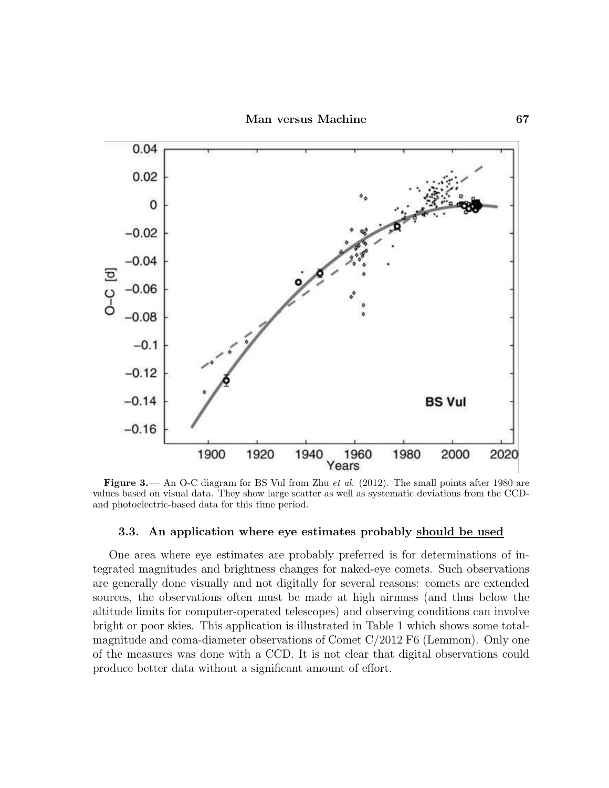

Figure 3.— An O-C diagram for BS Vul from Zhu *et al.* (2012). The small points after 1980 are values based on visual data. They show large scatter as well as systematic deviations from the CCDand photoelectric-based data for this time period.

#### 3.3. An application where eye estimates probably should be used

One area where eye estimates are probably preferred is for determinations of integrated magnitudes and brightness changes for naked-eye comets. Such observations are generally done visually and not digitally for several reasons: comets are extended sources, the observations often must be made at high airmass (and thus below the altitude limits for computer-operated telescopes) and observing conditions can involve bright or poor skies. This application is illustrated in Table 1 which shows some totalmagnitude and coma-diameter observations of Comet C/2012 F6 (Lemmon). Only one of the measures was done with a CCD. It is not clear that digital observations could produce better data without a significant amount of effort.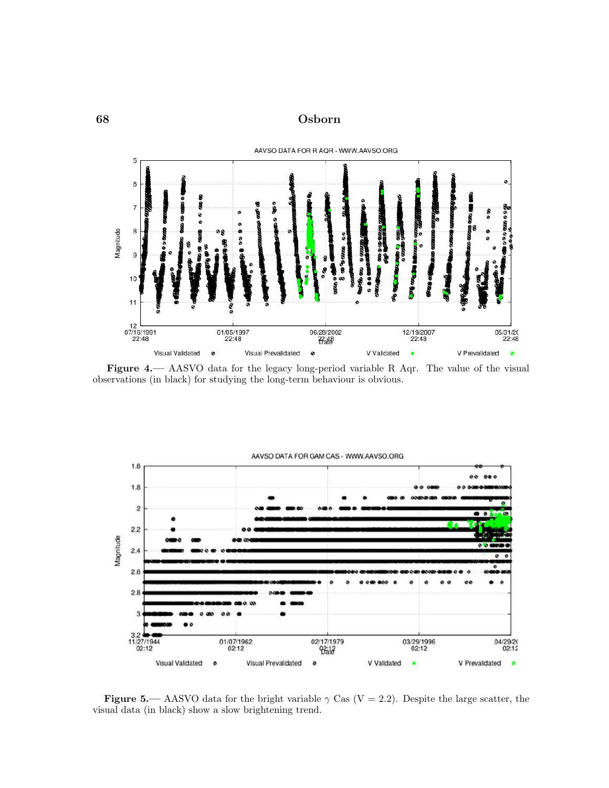

Figure 4.— AASVO data for the legacy long-period variable R Aqr. The value of the visual observations (in black) for studying the long-term behaviour is obvious.



Figure 5.— AASVO data for the bright variable  $\gamma$  Cas (V = 2.2). Despite the large scatter, the visual data (in black) show a slow brightening trend.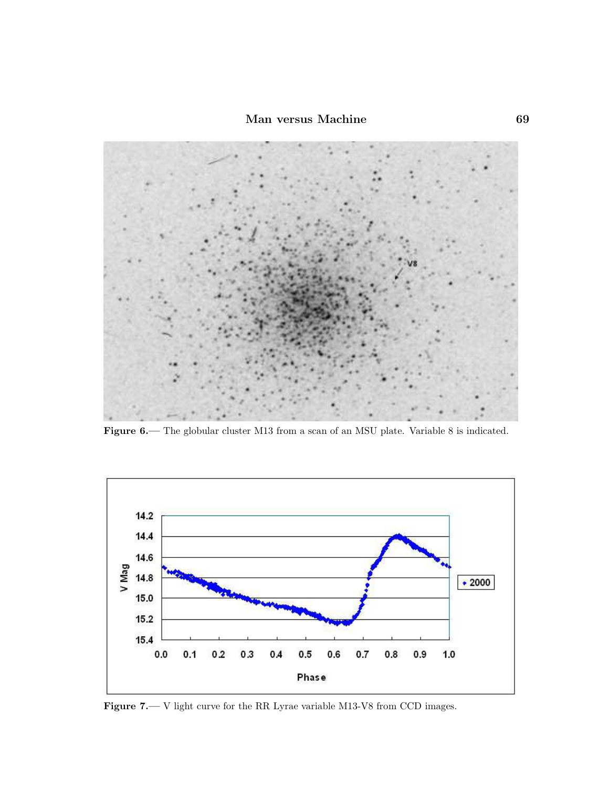

Figure 6.— The globular cluster M13 from a scan of an MSU plate. Variable 8 is indicated.



Figure 7.— V light curve for the RR Lyrae variable M13-V8 from CCD images.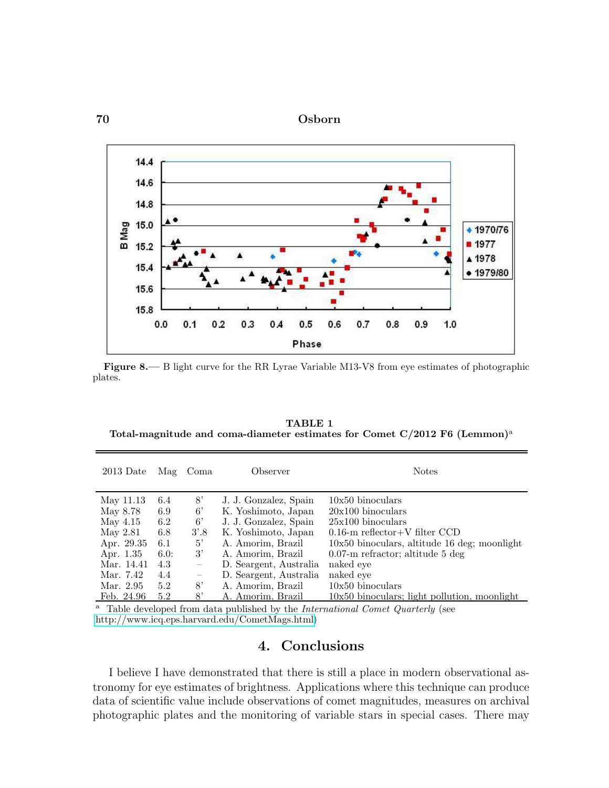



Figure 8.— B light curve for the RR Lyrae Variable M13-V8 from eye estimates of photographic plates.

TABLE 1 Total-magnitude and coma-diameter estimates for Comet  $C/2012$  F6 (Lemmon)<sup>a</sup>

| $2013$ Date | Mag  | Coma                     | Observer               | <b>Notes</b>                                   |
|-------------|------|--------------------------|------------------------|------------------------------------------------|
| May 11.13   | 6.4  | 8'                       | J. J. Gonzalez, Spain  | $10x50$ binoculars                             |
| May 8.78    | 6.9  | $6^{\circ}$              | K. Yoshimoto, Japan    | $20x100$ binoculars                            |
| May $4.15$  | 6.2  | $6^{\circ}$              | J. J. Gonzalez, Spain  | $25x100$ binoculars                            |
| May 2.81    | 6.8  | $3^{\prime}.8$           | K. Yoshimoto, Japan    | $0.16$ -m reflector+V filter CCD               |
| Apr. 29.35  | -6.1 | 5'                       | A. Amorim, Brazil      | $10x50$ binoculars, altitude 16 deg; moonlight |
| Apr. 1.35   | 6.0: | 3'                       | A. Amorim, Brazil      | $0.07$ -m refractor; altitude 5 deg            |
| Mar. 14.41  | 4.3  | $\overline{\phantom{m}}$ | D. Seargent, Australia | naked eye                                      |
| Mar. 7.42   | 4.4  | $\overline{\phantom{m}}$ | D. Seargent, Australia | naked eve                                      |
| Mar. 2.95   | 5.2  | 8'                       | A. Amorim, Brazil      | $10x50$ binoculars                             |
| Feb. 24.96  | 5.2  | 8'                       | A. Amorim, Brazil      | $10x50$ binoculars; light pollution, moonlight |

<sup>a</sup> Table developed from data published by the *International Comet Quarterly* (see [http://www.icq.eps.harvard.edu/CometMags.html\)](http://www.icq.eps.harvard.edu/CometMags.html)

# 4. Conclusions

I believe I have demonstrated that there is still a place in modern observational astronomy for eye estimates of brightness. Applications where this technique can produce data of scientific value include observations of comet magnitudes, measures on archival photographic plates and the monitoring of variable stars in special cases. There may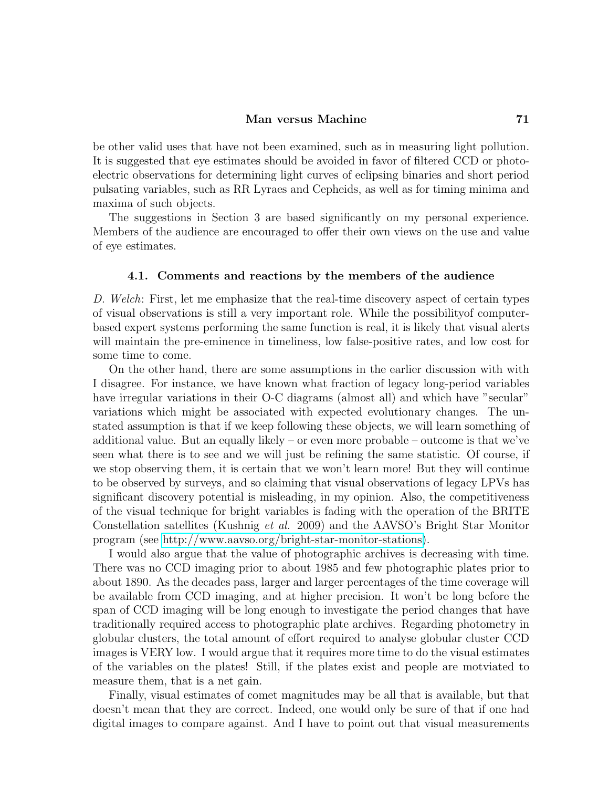#### Man versus Machine 71

be other valid uses that have not been examined, such as in measuring light pollution. It is suggested that eye estimates should be avoided in favor of filtered CCD or photoelectric observations for determining light curves of eclipsing binaries and short period pulsating variables, such as RR Lyraes and Cepheids, as well as for timing minima and maxima of such objects.

The suggestions in Section 3 are based significantly on my personal experience. Members of the audience are encouraged to offer their own views on the use and value of eye estimates.

#### 4.1. Comments and reactions by the members of the audience

D. Welch: First, let me emphasize that the real-time discovery aspect of certain types of visual observations is still a very important role. While the possibilityof computerbased expert systems performing the same function is real, it is likely that visual alerts will maintain the pre-eminence in timeliness, low false-positive rates, and low cost for some time to come.

On the other hand, there are some assumptions in the earlier discussion with with I disagree. For instance, we have known what fraction of legacy long-period variables have irregular variations in their O-C diagrams (almost all) and which have "secular" variations which might be associated with expected evolutionary changes. The unstated assumption is that if we keep following these objects, we will learn something of additional value. But an equally likely – or even more probable – outcome is that we've seen what there is to see and we will just be refining the same statistic. Of course, if we stop observing them, it is certain that we won't learn more! But they will continue to be observed by surveys, and so claiming that visual observations of legacy LPVs has significant discovery potential is misleading, in my opinion. Also, the competitiveness of the visual technique for bright variables is fading with the operation of the BRITE Constellation satellites (Kushnig et al. 2009) and the AAVSO's Bright Star Monitor program (see [http://www.aavso.org/bright-star-monitor-stations\)](http://www.aavso.org/bright-star-monitor-stations).

I would also argue that the value of photographic archives is decreasing with time. There was no CCD imaging prior to about 1985 and few photographic plates prior to about 1890. As the decades pass, larger and larger percentages of the time coverage will be available from CCD imaging, and at higher precision. It won't be long before the span of CCD imaging will be long enough to investigate the period changes that have traditionally required access to photographic plate archives. Regarding photometry in globular clusters, the total amount of effort required to analyse globular cluster CCD images is VERY low. I would argue that it requires more time to do the visual estimates of the variables on the plates! Still, if the plates exist and people are motviated to measure them, that is a net gain.

Finally, visual estimates of comet magnitudes may be all that is available, but that doesn't mean that they are correct. Indeed, one would only be sure of that if one had digital images to compare against. And I have to point out that visual measurements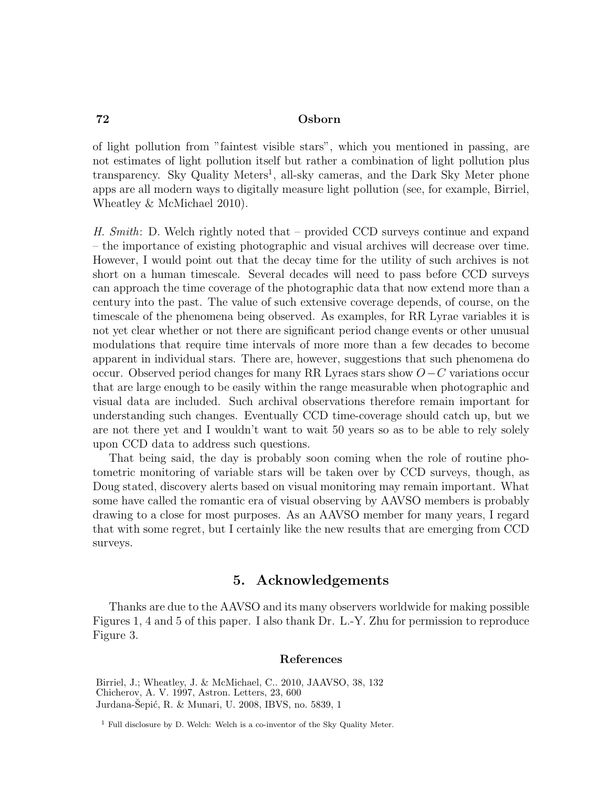of light pollution from "faintest visible stars", which you mentioned in passing, are not estimates of light pollution itself but rather a combination of light pollution plus transparency. Sky Quality Meters<sup>1</sup>, all-sky cameras, and the Dark Sky Meter phone apps are all modern ways to digitally measure light pollution (see, for example, Birriel, Wheatley & McMichael 2010).

H. Smith: D. Welch rightly noted that – provided CCD surveys continue and expand – the importance of existing photographic and visual archives will decrease over time. However, I would point out that the decay time for the utility of such archives is not short on a human timescale. Several decades will need to pass before CCD surveys can approach the time coverage of the photographic data that now extend more than a century into the past. The value of such extensive coverage depends, of course, on the timescale of the phenomena being observed. As examples, for RR Lyrae variables it is not yet clear whether or not there are significant period change events or other unusual modulations that require time intervals of more more than a few decades to become apparent in individual stars. There are, however, suggestions that such phenomena do occur. Observed period changes for many RR Lyraes stars show O−C variations occur that are large enough to be easily within the range measurable when photographic and visual data are included. Such archival observations therefore remain important for understanding such changes. Eventually CCD time-coverage should catch up, but we are not there yet and I wouldn't want to wait 50 years so as to be able to rely solely upon CCD data to address such questions.

That being said, the day is probably soon coming when the role of routine photometric monitoring of variable stars will be taken over by CCD surveys, though, as Doug stated, discovery alerts based on visual monitoring may remain important. What some have called the romantic era of visual observing by AAVSO members is probably drawing to a close for most purposes. As an AAVSO member for many years, I regard that with some regret, but I certainly like the new results that are emerging from CCD surveys.

# 5. Acknowledgements

Thanks are due to the AAVSO and its many observers worldwide for making possible Figures 1, 4 and 5 of this paper. I also thank Dr. L.-Y. Zhu for permission to reproduce Figure 3.

#### References

Birriel, J.; Wheatley, J. & McMichael, C.. 2010, JAAVSO, 38, 132 Chicherov, A. V. 1997, Astron. Letters, 23, 600 Jurdana-Šepić, R. & Munari, U. 2008, IBVS, no. 5839, 1

 $1$  Full disclosure by D. Welch: Welch is a co-inventor of the Sky Quality Meter.